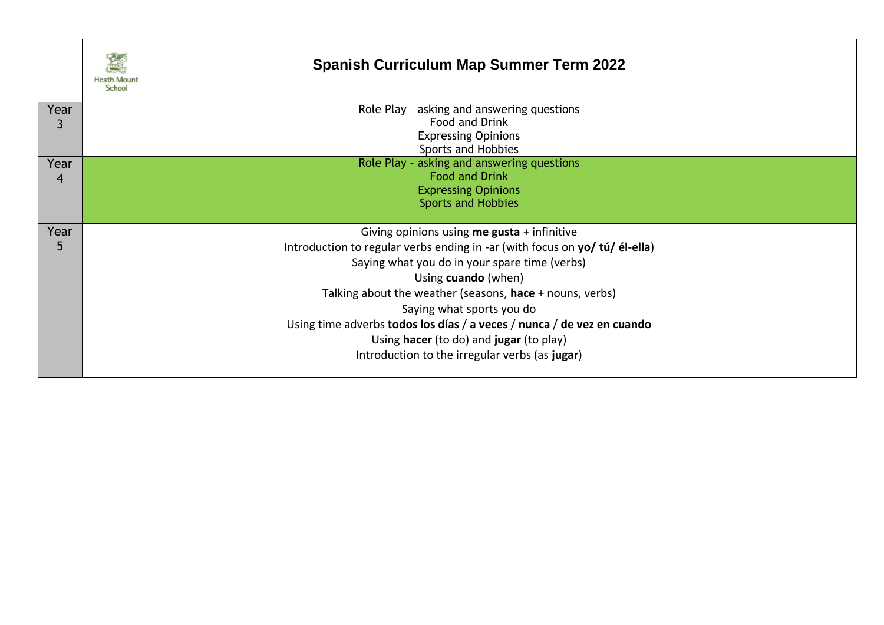|           | <b>Spanish Curriculum Map Summer Term 2022</b><br>School                    |
|-----------|-----------------------------------------------------------------------------|
| Year      | Role Play - asking and answering questions                                  |
|           | Food and Drink                                                              |
|           | <b>Expressing Opinions</b>                                                  |
|           | Sports and Hobbies<br>Role Play - asking and answering questions            |
| Year<br>4 | <b>Food and Drink</b>                                                       |
|           | <b>Expressing Opinions</b>                                                  |
|           | <b>Sports and Hobbies</b>                                                   |
|           |                                                                             |
| Year      | Giving opinions using me gusta + infinitive                                 |
| 5         | Introduction to regular verbs ending in -ar (with focus on yo/ tú/ él-ella) |
|           | Saying what you do in your spare time (verbs)                               |
|           | Using cuando (when)                                                         |
|           | Talking about the weather (seasons, hace + nouns, verbs)                    |
|           | Saying what sports you do                                                   |
|           | Using time adverbs todos los días / a veces / nunca / de vez en cuando      |
|           | Using hacer (to do) and jugar (to play)                                     |
|           | Introduction to the irregular verbs (as jugar)                              |
|           |                                                                             |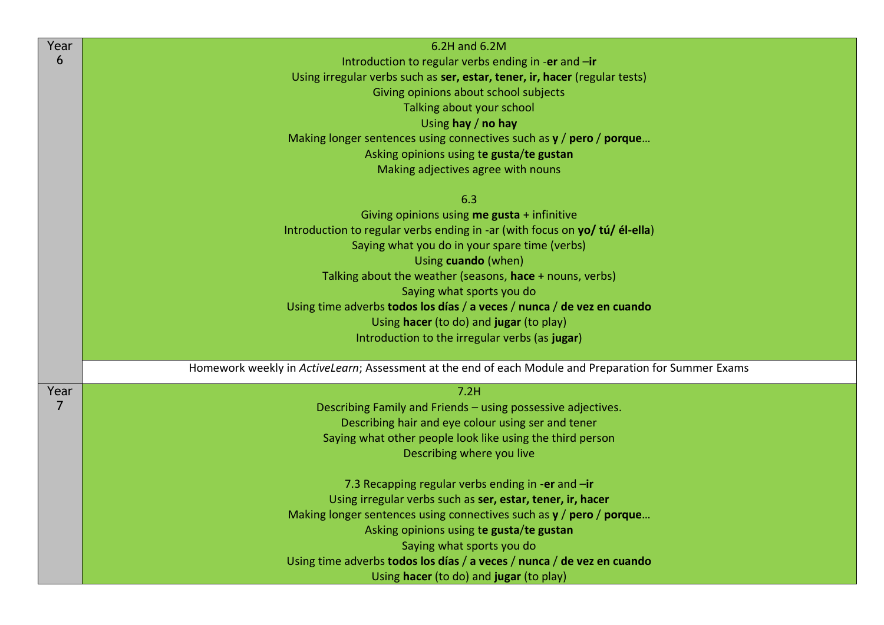| Year           | 6.2H and 6.2M                                                                                         |
|----------------|-------------------------------------------------------------------------------------------------------|
| 6              | Introduction to regular verbs ending in -er and -ir                                                   |
|                | Using irregular verbs such as ser, estar, tener, ir, hacer (regular tests)                            |
|                | Giving opinions about school subjects                                                                 |
|                | Talking about your school                                                                             |
|                | Using hay / no hay                                                                                    |
|                | Making longer sentences using connectives such as $y /$ pero / porque                                 |
|                | Asking opinions using te gusta/te gustan                                                              |
|                | Making adjectives agree with nouns                                                                    |
|                | 6.3                                                                                                   |
|                | Giving opinions using me gusta + infinitive                                                           |
|                | Introduction to regular verbs ending in -ar (with focus on yo/ tú/ él-ella)                           |
|                | Saying what you do in your spare time (verbs)                                                         |
|                | Using cuando (when)                                                                                   |
|                | Talking about the weather (seasons, hace + nouns, verbs)                                              |
|                | Saying what sports you do                                                                             |
|                | Using time adverbs todos los días / a veces / nunca / de vez en cuando                                |
|                | Using hacer (to do) and jugar (to play)                                                               |
|                | Introduction to the irregular verbs (as jugar)                                                        |
|                |                                                                                                       |
|                | Homework weekly in ActiveLearn; Assessment at the end of each Module and Preparation for Summer Exams |
| Year           | 7.2H                                                                                                  |
| $\overline{7}$ | Describing Family and Friends - using possessive adjectives.                                          |
|                | Describing hair and eye colour using ser and tener                                                    |
|                | Saying what other people look like using the third person                                             |
|                | Describing where you live                                                                             |
|                | 7.3 Recapping regular verbs ending in -er and -ir                                                     |
|                | Using irregular verbs such as ser, estar, tener, ir, hacer                                            |
|                | Making longer sentences using connectives such as $y /$ pero / porque                                 |
|                | Asking opinions using te gusta/te gustan                                                              |
|                | Saying what sports you do                                                                             |
|                | Using time adverbs todos los días / a veces / nunca / de vez en cuando                                |
|                | Using hacer (to do) and jugar (to play)                                                               |
|                |                                                                                                       |